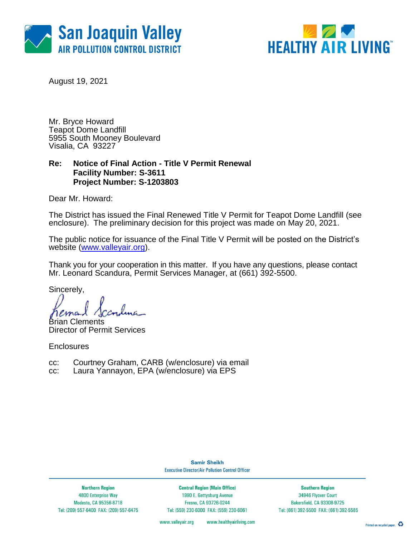



August 19, 2021

Mr. Bryce Howard Teapot Dome Landfill 5955 South Mooney Boulevard Visalia, CA 93227

## **Re: Notice of Final Action - Title V Permit Renewal Facility Number: S-3611 Project Number: S-1203803**

Dear Mr. Howard:

The District has issued the Final Renewed Title V Permit for Teapot Dome Landfill (see enclosure). The preliminary decision for this project was made on May 20, 2021.

The public notice for issuance of the Final Title V Permit will be posted on the District's website [\(www.valleyair.org\)](http://www.valleyair.org/).

Thank you for your cooperation in this matter. If you have any questions, please contact Mr. Leonard Scandura, Permit Services Manager, at (661) 392-5500.

Sincerely,

Brian Clements Director of Permit Services

**Enclosures** 

- cc: Courtney Graham, CARB (w/enclosure) via email
- cc: Laura Yannayon, EPA (w/enclosure) via EPS

**Samir Sheikh Executive Director/Air Pollution Control Officer** 

**Northern Region** 4800 Enterprise Way Modesto, CA 95356-8718 Tel: (209) 557-6400 FAX: (209) 557-6475

**Central Region (Main Office)** 1990 E. Gettysburg Avenue Fresno, CA 93726-0244 Tel: (559) 230-6000 FAX: (559) 230-6061

**Southern Region** 34946 Flyover Court Bakersfield, CA 93308-9725 Tel: (661) 392-5500 FAX: (661) 392-5585

www.valleyair.org www.healthyairliving.com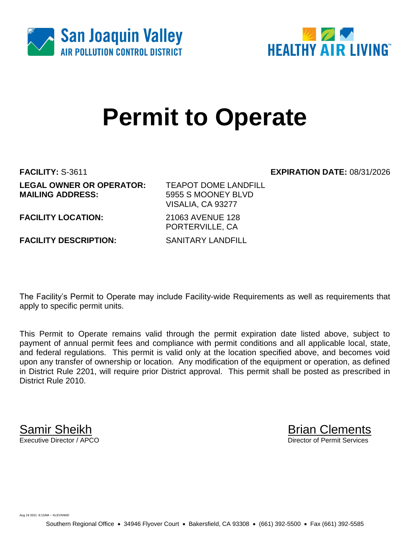



# **Permit to Operate**

# **FACILITY:** S-3611 **EXPIRATION DATE:** 08/31/2026

| <b>LEGAL OWNER OR OPERATOR:</b><br><b>MAILING ADDRESS:</b> | <b>TEAPOT DOME LANDFILL</b><br>5955 S MOONEY BLVD<br>VISALIA, CA 93277 |
|------------------------------------------------------------|------------------------------------------------------------------------|
| <b>FACILITY LOCATION:</b>                                  | 21063 AVENUE 128<br>PORTERVILLE, CA                                    |
| <b>FACILITY DESCRIPTION:</b>                               | <b>SANITARY LANDFILL</b>                                               |

The Facility's Permit to Operate may include Facility-wide Requirements as well as requirements that apply to specific permit units.

This Permit to Operate remains valid through the permit expiration date listed above, subject to payment of annual permit fees and compliance with permit conditions and all applicable local, state, and federal regulations. This permit is valid only at the location specified above, and becomes void upon any transfer of ownership or location. Any modification of the equipment or operation, as defined in District Rule 2201, will require prior District approval. This permit shall be posted as prescribed in District Rule 2010.

Samir Sheikh Brian Clements<br>Executive Director / APCO Director of Permit Services

Aug 19 2021 8:13AM -- KLEVANND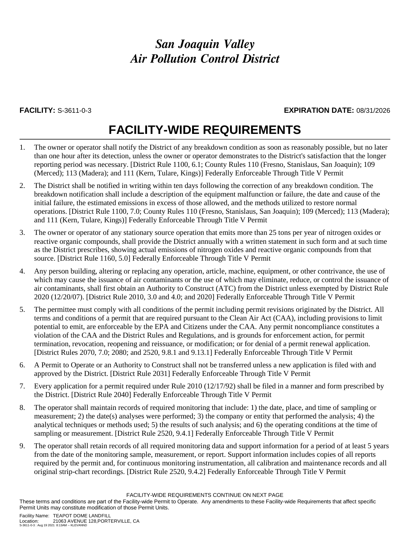# *San Joaquin Valley Air Pollution Control District*

### **FACILITY:** S-3611-0-3 **EXPIRATION DATE:** 08/31/2026

# **FACILITY-WIDE REQUIREMENTS**

- 1. The owner or operator shall notify the District of any breakdown condition as soon as reasonably possible, but no later than one hour after its detection, unless the owner or operator demonstrates to the District's satisfaction that the longer reporting period was necessary. [District Rule 1100, 6.1; County Rules 110 (Fresno, Stanislaus, San Joaquin); 109 (Merced); 113 (Madera); and 111 (Kern, Tulare, Kings)] Federally Enforceable Through Title V Permit
- 2. The District shall be notified in writing within ten days following the correction of any breakdown condition. The breakdown notification shall include a description of the equipment malfunction or failure, the date and cause of the initial failure, the estimated emissions in excess of those allowed, and the methods utilized to restore normal operations. [District Rule 1100, 7.0; County Rules 110 (Fresno, Stanislaus, San Joaquin); 109 (Merced); 113 (Madera); and 111 (Kern, Tulare, Kings)] Federally Enforceable Through Title V Permit
- 3. The owner or operator of any stationary source operation that emits more than 25 tons per year of nitrogen oxides or reactive organic compounds, shall provide the District annually with a written statement in such form and at such time as the District prescribes, showing actual emissions of nitrogen oxides and reactive organic compounds from that source. [District Rule 1160, 5.0] Federally Enforceable Through Title V Permit
- 4. Any person building, altering or replacing any operation, article, machine, equipment, or other contrivance, the use of which may cause the issuance of air contaminants or the use of which may eliminate, reduce, or control the issuance of air contaminants, shall first obtain an Authority to Construct (ATC) from the District unless exempted by District Rule 2020 (12/20/07). [District Rule 2010, 3.0 and 4.0; and 2020] Federally Enforceable Through Title V Permit
- 5. The permittee must comply with all conditions of the permit including permit revisions originated by the District. All terms and conditions of a permit that are required pursuant to the Clean Air Act (CAA), including provisions to limit potential to emit, are enforceable by the EPA and Citizens under the CAA. Any permit noncompliance constitutes a violation of the CAA and the District Rules and Regulations, and is grounds for enforcement action, for permit termination, revocation, reopening and reissuance, or modification; or for denial of a permit renewal application. [District Rules 2070, 7.0; 2080; and 2520, 9.8.1 and 9.13.1] Federally Enforceable Through Title V Permit
- 6. A Permit to Operate or an Authority to Construct shall not be transferred unless a new application is filed with and approved by the District. [District Rule 2031] Federally Enforceable Through Title V Permit
- 7. Every application for a permit required under Rule 2010 (12/17/92) shall be filed in a manner and form prescribed by the District. [District Rule 2040] Federally Enforceable Through Title V Permit
- 8. The operator shall maintain records of required monitoring that include: 1) the date, place, and time of sampling or measurement; 2) the date(s) analyses were performed; 3) the company or entity that performed the analysis; 4) the analytical techniques or methods used; 5) the results of such analysis; and 6) the operating conditions at the time of sampling or measurement. [District Rule 2520, 9.4.1] Federally Enforceable Through Title V Permit
- 9. The operator shall retain records of all required monitoring data and support information for a period of at least 5 years from the date of the monitoring sample, measurement, or report. Support information includes copies of all reports required by the permit and, for continuous monitoring instrumentation, all calibration and maintenance records and all original strip-chart recordings. [District Rule 2520, 9.4.2] Federally Enforceable Through Title V Permit

FACILITY-WIDE REQUIREMENTS CONTINUE ON NEXT PAGE

These terms and conditions are part of the Facility-wide Permit to Operate. Any amendments to these Facility-wide Requirements that affect specific Permit Units may constitute modification of those Permit Units.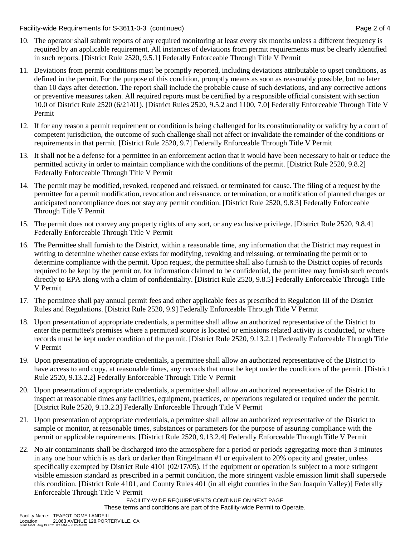Facility-wide Requirements for S-3611-0-3 (continued) Page 2 of 4

- 10. The operator shall submit reports of any required monitoring at least every six months unless a different frequency is required by an applicable requirement. All instances of deviations from permit requirements must be clearly identified in such reports. [District Rule 2520, 9.5.1] Federally Enforceable Through Title V Permit
- 11. Deviations from permit conditions must be promptly reported, including deviations attributable to upset conditions, as defined in the permit. For the purpose of this condition, promptly means as soon as reasonably possible, but no later than 10 days after detection. The report shall include the probable cause of such deviations, and any corrective actions or preventive measures taken. All required reports must be certified by a responsible official consistent with section 10.0 of District Rule 2520 (6/21/01). [District Rules 2520, 9.5.2 and 1100, 7.0] Federally Enforceable Through Title V Permit
- 12. If for any reason a permit requirement or condition is being challenged for its constitutionality or validity by a court of competent jurisdiction, the outcome of such challenge shall not affect or invalidate the remainder of the conditions or requirements in that permit. [District Rule 2520, 9.7] Federally Enforceable Through Title V Permit
- 13. It shall not be a defense for a permittee in an enforcement action that it would have been necessary to halt or reduce the permitted activity in order to maintain compliance with the conditions of the permit. [District Rule 2520, 9.8.2] Federally Enforceable Through Title V Permit
- 14. The permit may be modified, revoked, reopened and reissued, or terminated for cause. The filing of a request by the permittee for a permit modification, revocation and reissuance, or termination, or a notification of planned changes or anticipated noncompliance does not stay any permit condition. [District Rule 2520, 9.8.3] Federally Enforceable Through Title V Permit
- 15. The permit does not convey any property rights of any sort, or any exclusive privilege. [District Rule 2520, 9.8.4] Federally Enforceable Through Title V Permit
- 16. The Permittee shall furnish to the District, within a reasonable time, any information that the District may request in writing to determine whether cause exists for modifying, revoking and reissuing, or terminating the permit or to determine compliance with the permit. Upon request, the permittee shall also furnish to the District copies of records required to be kept by the permit or, for information claimed to be confidential, the permittee may furnish such records directly to EPA along with a claim of confidentiality. [District Rule 2520, 9.8.5] Federally Enforceable Through Title V Permit
- 17. The permittee shall pay annual permit fees and other applicable fees as prescribed in Regulation III of the District Rules and Regulations. [District Rule 2520, 9.9] Federally Enforceable Through Title V Permit
- 18. Upon presentation of appropriate credentials, a permittee shall allow an authorized representative of the District to enter the permittee's premises where a permitted source is located or emissions related activity is conducted, or where records must be kept under condition of the permit. [District Rule 2520, 9.13.2.1] Federally Enforceable Through Title V Permit
- 19. Upon presentation of appropriate credentials, a permittee shall allow an authorized representative of the District to have access to and copy, at reasonable times, any records that must be kept under the conditions of the permit. [District Rule 2520, 9.13.2.2] Federally Enforceable Through Title V Permit
- 20. Upon presentation of appropriate credentials, a permittee shall allow an authorized representative of the District to inspect at reasonable times any facilities, equipment, practices, or operations regulated or required under the permit. [District Rule 2520, 9.13.2.3] Federally Enforceable Through Title V Permit
- 21. Upon presentation of appropriate credentials, a permittee shall allow an authorized representative of the District to sample or monitor, at reasonable times, substances or parameters for the purpose of assuring compliance with the permit or applicable requirements. [District Rule 2520, 9.13.2.4] Federally Enforceable Through Title V Permit
- 22. No air contaminants shall be discharged into the atmosphere for a period or periods aggregating more than 3 minutes in any one hour which is as dark or darker than Ringelmann #1 or equivalent to 20% opacity and greater, unless specifically exempted by District Rule 4101 (02/17/05). If the equipment or operation is subject to a more stringent visible emission standard as prescribed in a permit condition, the more stringent visible emission limit shall supersede this condition. [District Rule 4101, and County Rules 401 (in all eight counties in the San Joaquin Valley)] Federally Enforceable Through Title V Permit

FACILITY-WIDE REQUIREMENTS CONTINUE ON NEXT PAGE These terms and conditions are part of the Facility-wide Permit to Operate.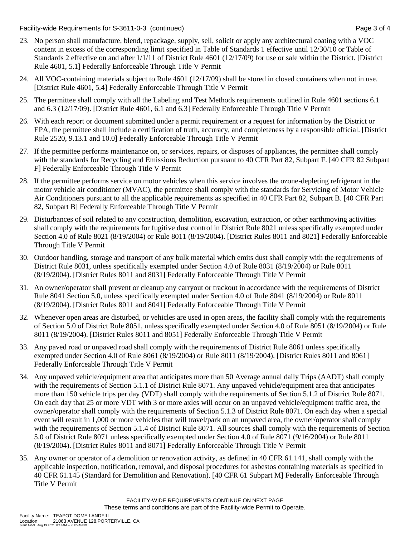Facility-wide Requirements for S-3611-0-3 (continued) Page 3 of 4

- 23. No person shall manufacture, blend, repackage, supply, sell, solicit or apply any architectural coating with a VOC content in excess of the corresponding limit specified in Table of Standards 1 effective until 12/30/10 or Table of Standards 2 effective on and after 1/1/11 of District Rule 4601 (12/17/09) for use or sale within the District. [District Rule 4601, 5.1] Federally Enforceable Through Title V Permit
- 24. All VOC-containing materials subject to Rule 4601 (12/17/09) shall be stored in closed containers when not in use. [District Rule 4601, 5.4] Federally Enforceable Through Title V Permit
- 25. The permittee shall comply with all the Labeling and Test Methods requirements outlined in Rule 4601 sections 6.1 and 6.3 (12/17/09). [District Rule 4601, 6.1 and 6.3] Federally Enforceable Through Title V Permit
- 26. With each report or document submitted under a permit requirement or a request for information by the District or EPA, the permittee shall include a certification of truth, accuracy, and completeness by a responsible official. [District Rule 2520, 9.13.1 and 10.0] Federally Enforceable Through Title V Permit
- 27. If the permittee performs maintenance on, or services, repairs, or disposes of appliances, the permittee shall comply with the standards for Recycling and Emissions Reduction pursuant to 40 CFR Part 82, Subpart F. [40 CFR 82 Subpart F] Federally Enforceable Through Title V Permit
- 28. If the permittee performs service on motor vehicles when this service involves the ozone-depleting refrigerant in the motor vehicle air conditioner (MVAC), the permittee shall comply with the standards for Servicing of Motor Vehicle Air Conditioners pursuant to all the applicable requirements as specified in 40 CFR Part 82, Subpart B. [40 CFR Part 82, Subpart B] Federally Enforceable Through Title V Permit
- 29. Disturbances of soil related to any construction, demolition, excavation, extraction, or other earthmoving activities shall comply with the requirements for fugitive dust control in District Rule 8021 unless specifically exempted under Section 4.0 of Rule 8021 (8/19/2004) or Rule 8011 (8/19/2004). [District Rules 8011 and 8021] Federally Enforceable Through Title V Permit
- 30. Outdoor handling, storage and transport of any bulk material which emits dust shall comply with the requirements of District Rule 8031, unless specifically exempted under Section 4.0 of Rule 8031 (8/19/2004) or Rule 8011 (8/19/2004). [District Rules 8011 and 8031] Federally Enforceable Through Title V Permit
- 31. An owner/operator shall prevent or cleanup any carryout or trackout in accordance with the requirements of District Rule 8041 Section 5.0, unless specifically exempted under Section 4.0 of Rule 8041 (8/19/2004) or Rule 8011 (8/19/2004). [District Rules 8011 and 8041] Federally Enforceable Through Title V Permit
- 32. Whenever open areas are disturbed, or vehicles are used in open areas, the facility shall comply with the requirements of Section 5.0 of District Rule 8051, unless specifically exempted under Section 4.0 of Rule 8051 (8/19/2004) or Rule 8011 (8/19/2004). [District Rules 8011 and 8051] Federally Enforceable Through Title V Permit
- 33. Any paved road or unpaved road shall comply with the requirements of District Rule 8061 unless specifically exempted under Section 4.0 of Rule 8061 (8/19/2004) or Rule 8011 (8/19/2004). [District Rules 8011 and 8061] Federally Enforceable Through Title V Permit
- 34. Any unpaved vehicle/equipment area that anticipates more than 50 Average annual daily Trips (AADT) shall comply with the requirements of Section 5.1.1 of District Rule 8071. Any unpaved vehicle/equipment area that anticipates more than 150 vehicle trips per day (VDT) shall comply with the requirements of Section 5.1.2 of District Rule 8071. On each day that 25 or more VDT with 3 or more axles will occur on an unpaved vehicle/equipment traffic area, the owner/operator shall comply with the requirements of Section 5.1.3 of District Rule 8071. On each day when a special event will result in 1,000 or more vehicles that will travel/park on an unpaved area, the owner/operator shall comply with the requirements of Section 5.1.4 of District Rule 8071. All sources shall comply with the requirements of Section 5.0 of District Rule 8071 unless specifically exempted under Section 4.0 of Rule 8071 (9/16/2004) or Rule 8011 (8/19/2004). [District Rules 8011 and 8071] Federally Enforceable Through Title V Permit
- 35. Any owner or operator of a demolition or renovation activity, as defined in 40 CFR 61.141, shall comply with the applicable inspection, notification, removal, and disposal procedures for asbestos containing materials as specified in 40 CFR 61.145 (Standard for Demolition and Renovation). [40 CFR 61 Subpart M] Federally Enforceable Through Title V Permit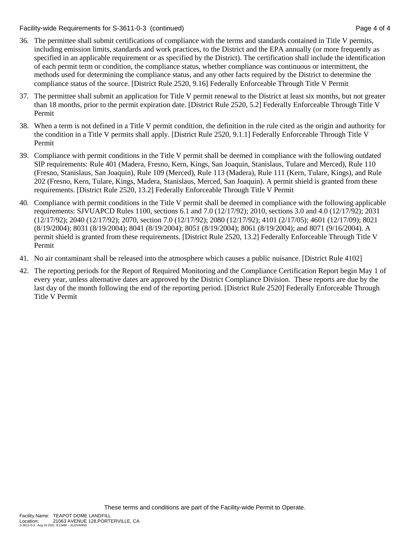Facility-wide Requirements for S-3611-0-3 (continued) Page 4 of 4

- 36. The permittee shall submit certifications of compliance with the terms and standards contained in Title V permits, including emission limits, standards and work practices, to the District and the EPA annually (or more frequently as specified in an applicable requirement or as specified by the District). The certification shall include the identification of each permit term or condition, the compliance status, whether compliance was continuous or intermittent, the methods used for determining the compliance status, and any other facts required by the District to determine the compliance status of the source. [District Rule 2520, 9.16] Federally Enforceable Through Title V Permit
- 37. The permittee shall submit an application for Title V permit renewal to the District at least six months, but not greater than 18 months, prior to the permit expiration date. [District Rule 2520, 5.2] Federally Enforceable Through Title V Permit
- 38. When a term is not defined in a Title V permit condition, the definition in the rule cited as the origin and authority for the condition in a Title V permits shall apply. [District Rule 2520, 9.1.1] Federally Enforceable Through Title V Permit
- 39. Compliance with permit conditions in the Title V permit shall be deemed in compliance with the following outdated SIP requirements: Rule 401 (Madera, Fresno, Kern, Kings, San Joaquin, Stanislaus, Tulare and Merced), Rule 110 (Fresno, Stanislaus, San Joaquin), Rule 109 (Merced), Rule 113 (Madera), Rule 111 (Kern, Tulare, Kings), and Rule 202 (Fresno, Kern, Tulare, Kings, Madera, Stanislaus, Merced, San Joaquin). A permit shield is granted from these requirements. [District Rule 2520, 13.2] Federally Enforceable Through Title V Permit
- 40. Compliance with permit conditions in the Title V permit shall be deemed in compliance with the following applicable requirements: SJVUAPCD Rules 1100, sections 6.1 and 7.0 (12/17/92); 2010, sections 3.0 and 4.0 (12/17/92); 2031 (12/17/92); 2040 (12/17/92); 2070, section 7.0 (12/17/92); 2080 (12/17/92); 4101 (2/17/05); 4601 (12/17/09); 8021 (8/19/2004); 8031 (8/19/2004); 8041 (8/19/2004); 8051 (8/19/2004); 8061 (8/19/2004); and 8071 (9/16/2004). A permit shield is granted from these requirements. [District Rule 2520, 13.2] Federally Enforceable Through Title V Permit
- 41. No air contaminant shall be released into the atmosphere which causes a public nuisance. [District Rule 4102]
- 42. The reporting periods for the Report of Required Monitoring and the Compliance Certification Report begin May 1 of every year, unless alternative dates are approved by the District Compliance Division. These reports are due by the last day of the month following the end of the reporting period. [District Rule 2520] Federally Enforceable Through Title V Permit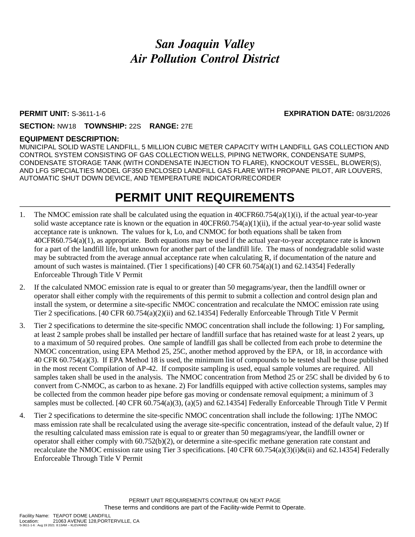# *San Joaquin Valley Air Pollution Control District*

#### **PERMIT UNIT:** S-3611-1-6 **EXPIRATION DATE:** 08/31/2026

#### **SECTION:** NW18 **TOWNSHIP:** 22S **RANGE:** 27E

#### **EQUIPMENT DESCRIPTION:**

MUNICIPAL SOLID WASTE LANDFILL, 5 MILLION CUBIC METER CAPACITY WITH LANDFILL GAS COLLECTION AND CONTROL SYSTEM CONSISTING OF GAS COLLECTION WELLS, PIPING NETWORK, CONDENSATE SUMPS, CONDENSATE STORAGE TANK (WITH CONDENSATE INJECTION TO FLARE), KNOCKOUT VESSEL, BLOWER(S), AND LFG SPECIALTIES MODEL GF350 ENCLOSED LANDFILL GAS FLARE WITH PROPANE PILOT, AIR LOUVERS, AUTOMATIC SHUT DOWN DEVICE, AND TEMPERATURE INDICATOR/RECORDER

# **PERMIT UNIT REQUIREMENTS**

- 1. The NMOC emission rate shall be calculated using the equation in 40CFR60.754(a)(1)(i), if the actual year-to-year solid waste acceptance rate is known or the equation in  $40CFR60.754(a)(1)(ii)$ , if the actual year-to-year solid waste acceptance rate is unknown. The values for k, Lo, and CNMOC for both equations shall be taken from 40CFR60.754(a)(1), as appropriate. Both equations may be used if the actual year-to-year acceptance rate is known for a part of the landfill life, but unknown for another part of the landfill life. The mass of nondegradable solid waste may be subtracted from the average annual acceptance rate when calculating R, if documentation of the nature and amount of such wastes is maintained. (Tier 1 specifications) [40 CFR 60.754(a)(1) and 62.14354] Federally Enforceable Through Title V Permit
- 2. If the calculated NMOC emission rate is equal to or greater than 50 megagrams/year, then the landfill owner or operator shall either comply with the requirements of this permit to submit a collection and control design plan and install the system, or determine a site-specific NMOC concentration and recalculate the NMOC emission rate using Tier 2 specifications. [40 CFR 60.754(a)(2)(ii) and 62.14354] Federally Enforceable Through Title V Permit
- 3. Tier 2 specifications to determine the site-specific NMOC concentration shall include the following: 1) For sampling, at least 2 sample probes shall be installed per hectare of landfill surface that has retained waste for at least 2 years, up to a maximum of 50 required probes. One sample of landfill gas shall be collected from each probe to determine the NMOC concentration, using EPA Method 25, 25C, another method approved by the EPA, or 18, in accordance with 40 CFR 60.754(a)(3). If EPA Method 18 is used, the minimum list of compounds to be tested shall be those published in the most recent Compilation of AP-42. If composite sampling is used, equal sample volumes are required. All samples taken shall be used in the analysis. The NMOC concentration from Method 25 or 25C shall be divided by 6 to convert from C-NMOC, as carbon to as hexane. 2) For landfills equipped with active collection systems, samples may be collected from the common header pipe before gas moving or condensate removal equipment; a minimum of 3 samples must be collected. [40 CFR 60.754(a)(3), (a)(5) and 62.14354] Federally Enforceable Through Title V Permit
- 4. Tier 2 specifications to determine the site-specific NMOC concentration shall include the following: 1)The NMOC mass emission rate shall be recalculated using the average site-specific concentration, instead of the default value, 2) If the resulting calculated mass emission rate is equal to or greater than 50 megagrams/year, the landfill owner or operator shall either comply with 60.752(b)(2), or determine a site-specific methane generation rate constant and recalculate the NMOC emission rate using Tier 3 specifications. [40 CFR 60.754(a)(3)(i)&(ii) and 62.14354] Federally Enforceable Through Title V Permit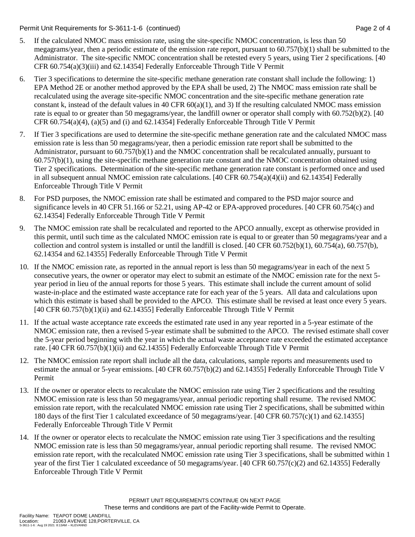Permit Unit Requirements for S-3611-1-6 (continued) Page 2 of 4

- 5. If the calculated NMOC mass emission rate, using the site-specific NMOC concentration, is less than 50 megagrams/year, then a periodic estimate of the emission rate report, pursuant to 60.757(b)(1) shall be submitted to the Administrator. The site-specific NMOC concentration shall be retested every 5 years, using Tier 2 specifications. [40 CFR 60.754(a)(3)(iii) and 62.14354] Federally Enforceable Through Title V Permit
- 6. Tier 3 specifications to determine the site-specific methane generation rate constant shall include the following: 1) EPA Method 2E or another method approved by the EPA shall be used, 2) The NMOC mass emission rate shall be recalculated using the average site-specific NMOC concentration and the site-specific methane generation rate constant k, instead of the default values in 40 CFR  $60(a)(1)$ , and 3) If the resulting calculated NMOC mass emission rate is equal to or greater than 50 megagrams/year, the landfill owner or operator shall comply with 60.752(b)(2). [40] CFR 60.754(a)(4), (a)(5) and (i) and 62.14354] Federally Enforceable Through Title V Permit
- 7. If Tier 3 specifications are used to determine the site-specific methane generation rate and the calculated NMOC mass emission rate is less than 50 megagrams/year, then a periodic emission rate report shall be submitted to the Administrator, pursuant to 60.757(b)(1) and the NMOC concentration shall be recalculated annually, pursuant to 60.757(b)(1), using the site-specific methane generation rate constant and the NMOC concentration obtained using Tier 2 specifications. Determination of the site-specific methane generation rate constant is performed once and used in all subsequent annual NMOC emission rate calculations. [40 CFR 60.754(a)(4)(ii) and 62.14354] Federally Enforceable Through Title V Permit
- 8. For PSD purposes, the NMOC emission rate shall be estimated and compared to the PSD major source and significance levels in 40 CFR 51.166 or 52.21, using AP-42 or EPA-approved procedures. [40 CFR 60.754(c) and 62.14354] Federally Enforceable Through Title V Permit
- 9. The NMOC emission rate shall be recalculated and reported to the APCO annually, except as otherwise provided in this permit, until such time as the calculated NMOC emission rate is equal to or greater than 50 megagrams/year and a collection and control system is installed or until the landfill is closed. [40 CFR 60.752(b)(1), 60.754(a), 60.757(b), 62.14354 and 62.14355] Federally Enforceable Through Title V Permit
- 10. If the NMOC emission rate, as reported in the annual report is less than 50 megagrams/year in each of the next 5 consecutive years, the owner or operator may elect to submit an estimate of the NMOC emission rate for the next 5 year period in lieu of the annual reports for those 5 years. This estimate shall include the current amount of solid waste-in-place and the estimated waste acceptance rate for each year of the 5 years. All data and calculations upon which this estimate is based shall be provided to the APCO. This estimate shall be revised at least once every 5 years. [40 CFR 60.757(b)(1)(ii) and 62.14355] Federally Enforceable Through Title V Permit
- 11. If the actual waste acceptance rate exceeds the estimated rate used in any year reported in a 5-year estimate of the NMOC emission rate, then a revised 5-year estimate shall be submitted to the APCO. The revised estimate shall cover the 5-year period beginning with the year in which the actual waste acceptance rate exceeded the estimated acceptance rate. [40 CFR 60.757(b)(1)(ii) and 62.14355] Federally Enforceable Through Title V Permit
- 12. The NMOC emission rate report shall include all the data, calculations, sample reports and measurements used to estimate the annual or 5-year emissions. [40 CFR 60.757(b)(2) and 62.14355] Federally Enforceable Through Title V Permit
- 13. If the owner or operator elects to recalculate the NMOC emission rate using Tier 2 specifications and the resulting NMOC emission rate is less than 50 megagrams/year, annual periodic reporting shall resume. The revised NMOC emission rate report, with the recalculated NMOC emission rate using Tier 2 specifications, shall be submitted within 180 days of the first Tier 1 calculated exceedance of 50 megagrams/year. [40 CFR 60.757(c)(1) and 62.14355] Federally Enforceable Through Title V Permit
- 14. If the owner or operator elects to recalculate the NMOC emission rate using Tier 3 specifications and the resulting NMOC emission rate is less than 50 megagrams/year, annual periodic reporting shall resume. The revised NMOC emission rate report, with the recalculated NMOC emission rate using Tier 3 specifications, shall be submitted within 1 year of the first Tier 1 calculated exceedance of 50 megagrams/year. [40 CFR 60.757(c)(2) and 62.14355] Federally Enforceable Through Title V Permit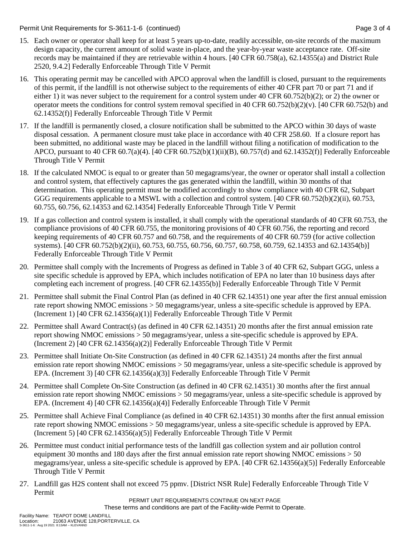Permit Unit Requirements for S-3611-1-6 (continued) Page 3 of 4

- 15. Each owner or operator shall keep for at least 5 years up-to-date, readily accessible, on-site records of the maximum design capacity, the current amount of solid waste in-place, and the year-by-year waste acceptance rate. Off-site records may be maintained if they are retrievable within 4 hours. [40 CFR 60.758(a), 62.14355(a) and District Rule 2520, 9.4.2] Federally Enforceable Through Title V Permit
- 16. This operating permit may be cancelled with APCO approval when the landfill is closed, pursuant to the requirements of this permit, if the landfill is not otherwise subject to the requirements of either 40 CFR part 70 or part 71 and if either 1) it was never subject to the requirement for a control system under 40 CFR 60.752(b)(2); or 2) the owner or operator meets the conditions for control system removal specified in 40 CFR  $60.752(b)(2)(v)$ . [40 CFR  $60.752(b)$  and 62.14352(f)] Federally Enforceable Through Title V Permit
- 17. If the landfill is permanently closed, a closure notification shall be submitted to the APCO within 30 days of waste disposal cessation. A permanent closure must take place in accordance with 40 CFR 258.60. If a closure report has been submitted, no additional waste may be placed in the landfill without filing a notification of modification to the APCO, pursuant to 40 CFR 60.7(a)(4). [40 CFR 60.752(b)(1)(ii)(B), 60.757(d) and 62.14352(f)] Federally Enforceable Through Title V Permit
- 18. If the calculated NMOC is equal to or greater than 50 megagrams/year, the owner or operator shall install a collection and control system, that effectively captures the gas generated within the landfill, within 30 months of that determination. This operating permit must be modified accordingly to show compliance with 40 CFR 62, Subpart GGG requirements applicable to a MSWL with a collection and control system. [40 CFR 60.752(b)(2)(ii), 60.753, 60.755, 60.756, 62.14353 and 62.14354] Federally Enforceable Through Title V Permit
- 19. If a gas collection and control system is installed, it shall comply with the operational standards of 40 CFR 60.753, the compliance provisions of 40 CFR 60.755, the monitoring provisions of 40 CFR 60.756, the reporting and record keeping requirements of 40 CFR 60.757 and 60.758, and the requirements of 40 CFR 60.759 (for active collection systems). [40 CFR 60.752(b)(2)(ii), 60.753, 60.755, 60.756, 60.757, 60.758, 60.759, 62.14353 and 62.14354(b)] Federally Enforceable Through Title V Permit
- 20. Permittee shall comply with the Increments of Progress as defined in Table 3 of 40 CFR 62, Subpart GGG, unless a site specific schedule is approved by EPA, which includes notification of EPA no later than 10 business days after completing each increment of progress. [40 CFR 62.14355(b)] Federally Enforceable Through Title V Permit
- 21. Permittee shall submit the Final Control Plan (as defined in 40 CFR 62.14351) one year after the first annual emission rate report showing NMOC emissions > 50 megagrams/year, unless a site-specific schedule is approved by EPA. (Increment 1) [40 CFR 62.14356(a)(1)] Federally Enforceable Through Title V Permit
- 22. Permittee shall Award Contract(s) (as defined in 40 CFR 62.14351) 20 months after the first annual emission rate report showing NMOC emissions > 50 megagrams/year, unless a site-specific schedule is approved by EPA. (Increment 2) [40 CFR 62.14356(a)(2)] Federally Enforceable Through Title V Permit
- 23. Permittee shall Initiate On-Site Construction (as defined in 40 CFR 62.14351) 24 months after the first annual emission rate report showing NMOC emissions > 50 megagrams/year, unless a site-specific schedule is approved by EPA. (Increment 3) [40 CFR 62.14356(a)(3)] Federally Enforceable Through Title V Permit
- 24. Permittee shall Complete On-Site Construction (as defined in 40 CFR 62.14351) 30 months after the first annual emission rate report showing NMOC emissions > 50 megagrams/year, unless a site-specific schedule is approved by EPA. (Increment 4) [40 CFR 62.14356(a)(4)] Federally Enforceable Through Title V Permit
- 25. Permittee shall Achieve Final Compliance (as defined in 40 CFR 62.14351) 30 months after the first annual emission rate report showing NMOC emissions > 50 megagrams/year, unless a site-specific schedule is approved by EPA. (Increment 5) [40 CFR 62.14356(a)(5)] Federally Enforceable Through Title V Permit
- 26. Permittee must conduct initial performance tests of the landfill gas collection system and air pollution control equipment 30 months and 180 days after the first annual emission rate report showing NMOC emissions > 50 megagrams/year, unless a site-specific schedule is approved by EPA. [40 CFR 62.14356(a)(5)] Federally Enforceable Through Title V Permit
- 27. Landfill gas H2S content shall not exceed 75 ppmv. [District NSR Rule] Federally Enforceable Through Title V Permit

PERMIT UNIT REQUIREMENTS CONTINUE ON NEXT PAGE These terms and conditions are part of the Facility-wide Permit to Operate.